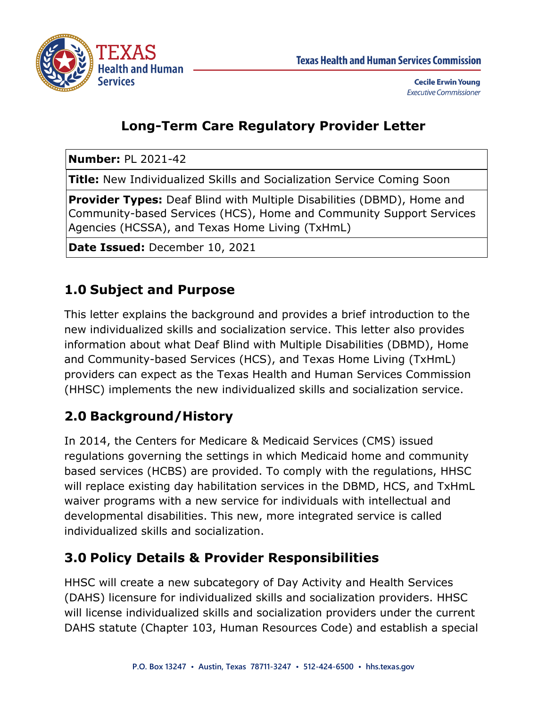

### **Long-Term Care Regulatory Provider Letter**

**Number:** PL 2021-42

**Title:** New Individualized Skills and Socialization Service Coming Soon

**Provider Types:** Deaf Blind with Multiple Disabilities (DBMD), Home and Community-based Services (HCS), Home and Community Support Services Agencies (HCSSA), and Texas Home Living (TxHmL)

**Date Issued:** December 10, 2021

## **1.0 Subject and Purpose**

This letter explains the background and provides a brief introduction to the new individualized skills and socialization service. This letter also provides information about what Deaf Blind with Multiple Disabilities (DBMD), Home and Community-based Services (HCS), and Texas Home Living (TxHmL) providers can expect as the Texas Health and Human Services Commission (HHSC) implements the new individualized skills and socialization service.

# **2.0 Background/History**

In 2014, the Centers for Medicare & Medicaid Services (CMS) issued regulations governing the settings in which Medicaid home and community based services (HCBS) are provided. To comply with the regulations, HHSC will replace existing day habilitation services in the DBMD, HCS, and TxHmL waiver programs with a new service for individuals with intellectual and developmental disabilities. This new, more integrated service is called individualized skills and socialization.

### **3.0 Policy Details & Provider Responsibilities**

HHSC will create a new subcategory of Day Activity and Health Services (DAHS) licensure for individualized skills and socialization providers. HHSC will license individualized skills and socialization providers under the current DAHS statute (Chapter 103, Human Resources Code) and establish a special